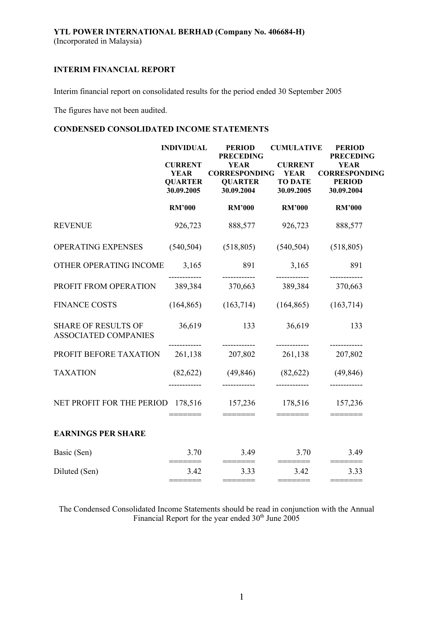Interim financial report on consolidated results for the period ended 30 September 2005

The figures have not been audited.

# **CONDENSED CONSOLIDATED INCOME STATEMENTS**

| <b>PRECEDING</b><br><b>YEAR</b><br><b>CURRENT</b><br><b>YEAR</b><br><b>CURRENT</b><br><b>CORRESPONDING</b><br><b>CORRESPONDING</b><br><b>YEAR</b><br><b>YEAR</b><br><b>QUARTER</b><br><b>QUARTER</b><br><b>TO DATE</b><br><b>PERIOD</b><br>30.09.2005<br>30.09.2005<br>30.09.2004<br>30.09.2004<br><b>RM'000</b><br><b>RM'000</b><br><b>RM'000</b><br><b>RM'000</b><br><b>REVENUE</b><br>926,723<br>888,577<br>926,723<br>888,577<br>OPERATING EXPENSES<br>(540, 504)<br>(518, 805)<br>(540, 504)<br>(518, 805)<br>OTHER OPERATING INCOME<br>891<br>891<br>3,165<br>3,165<br>------------<br>--------<br>------------<br>PROFIT FROM OPERATION<br>389,384<br>370,663<br>389,384<br>370,663<br><b>FINANCE COSTS</b> | <b>PRECEDING</b> |
|--------------------------------------------------------------------------------------------------------------------------------------------------------------------------------------------------------------------------------------------------------------------------------------------------------------------------------------------------------------------------------------------------------------------------------------------------------------------------------------------------------------------------------------------------------------------------------------------------------------------------------------------------------------------------------------------------------------------|------------------|
|                                                                                                                                                                                                                                                                                                                                                                                                                                                                                                                                                                                                                                                                                                                    |                  |
|                                                                                                                                                                                                                                                                                                                                                                                                                                                                                                                                                                                                                                                                                                                    |                  |
|                                                                                                                                                                                                                                                                                                                                                                                                                                                                                                                                                                                                                                                                                                                    |                  |
|                                                                                                                                                                                                                                                                                                                                                                                                                                                                                                                                                                                                                                                                                                                    |                  |
|                                                                                                                                                                                                                                                                                                                                                                                                                                                                                                                                                                                                                                                                                                                    |                  |
|                                                                                                                                                                                                                                                                                                                                                                                                                                                                                                                                                                                                                                                                                                                    |                  |
| (164, 865)<br>(163,714)<br>(164, 865)<br>(163, 714)                                                                                                                                                                                                                                                                                                                                                                                                                                                                                                                                                                                                                                                                |                  |
| 36,619<br>36,619<br><b>SHARE OF RESULTS OF</b><br>133<br>133<br><b>ASSOCIATED COMPANIES</b>                                                                                                                                                                                                                                                                                                                                                                                                                                                                                                                                                                                                                        |                  |
| ------------<br>------------<br>------------<br>PROFIT BEFORE TAXATION<br>261,138<br>207,802<br>261,138<br>207,802                                                                                                                                                                                                                                                                                                                                                                                                                                                                                                                                                                                                 |                  |
| <b>TAXATION</b><br>(49, 846)<br>(82, 622)<br>(49, 846)<br>(82,622)                                                                                                                                                                                                                                                                                                                                                                                                                                                                                                                                                                                                                                                 |                  |
| NET PROFIT FOR THE PERIOD 178,516<br>178,516<br>157,236<br>157,236<br>=======                                                                                                                                                                                                                                                                                                                                                                                                                                                                                                                                                                                                                                      |                  |
| <b>EARNINGS PER SHARE</b>                                                                                                                                                                                                                                                                                                                                                                                                                                                                                                                                                                                                                                                                                          |                  |
| 3.70<br>3.70<br>3.49<br>Basic (Sen)<br>3.49<br>$\qquad \qquad \displaystyle =\qquad \qquad \qquad \qquad \displaystyle =\qquad \qquad \qquad$<br>$=======$<br>======                                                                                                                                                                                                                                                                                                                                                                                                                                                                                                                                               |                  |
| Diluted (Sen)<br>3.42<br>3.33<br>3.42<br>3.33                                                                                                                                                                                                                                                                                                                                                                                                                                                                                                                                                                                                                                                                      |                  |

The Condensed Consolidated Income Statements should be read in conjunction with the Annual Financial Report for the year ended  $30<sup>th</sup>$  June 2005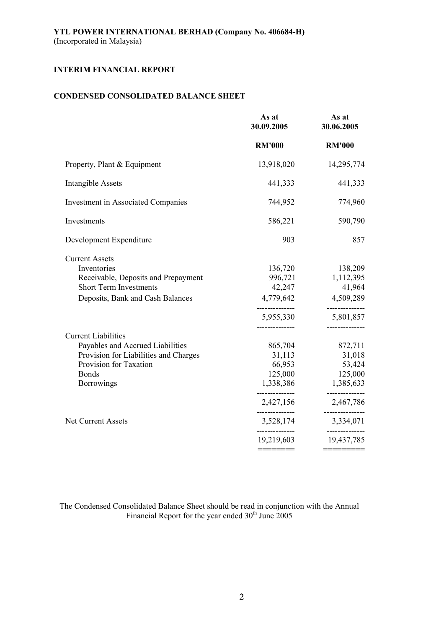# **CONDENSED CONSOLIDATED BALANCE SHEET**

|                                                                                                                                                                                                     | As at<br>30.09.2005                                                                                                             | As at<br>30.06.2005                                                                                          |
|-----------------------------------------------------------------------------------------------------------------------------------------------------------------------------------------------------|---------------------------------------------------------------------------------------------------------------------------------|--------------------------------------------------------------------------------------------------------------|
|                                                                                                                                                                                                     | <b>RM'000</b>                                                                                                                   | <b>RM'000</b>                                                                                                |
| Property, Plant & Equipment                                                                                                                                                                         | 13,918,020                                                                                                                      | 14,295,774                                                                                                   |
| <b>Intangible Assets</b>                                                                                                                                                                            | 441,333                                                                                                                         | 441,333                                                                                                      |
| <b>Investment in Associated Companies</b>                                                                                                                                                           | 744,952                                                                                                                         | 774,960                                                                                                      |
| Investments                                                                                                                                                                                         | 586,221                                                                                                                         | 590,790                                                                                                      |
| Development Expenditure                                                                                                                                                                             | 903                                                                                                                             | 857                                                                                                          |
| <b>Current Assets</b><br>Inventories<br>Receivable, Deposits and Prepayment<br><b>Short Term Investments</b><br>Deposits, Bank and Cash Balances                                                    | 136,720<br>996,721<br>42,247<br>4,779,642<br>-----------<br>5,955,330<br>-------------                                          | 138,209<br>1,112,395<br>41,964<br>4,509,289<br>-----------<br>5,801,857<br>------------                      |
| <b>Current Liabilities</b><br>Payables and Accrued Liabilities<br>Provision for Liabilities and Charges<br>Provision for Taxation<br><b>Bonds</b><br><b>Borrowings</b><br><b>Net Current Assets</b> | 865,704<br>31,113<br>66,953<br>125,000<br>1,338,386<br>--------------<br>2,427,156<br>--------------<br>3,528,174<br>19,219,603 | 872,711<br>31,018<br>53,424<br>125,000<br>1,385,633<br>2,467,786<br>-------------<br>3,334,071<br>19,437,785 |
|                                                                                                                                                                                                     |                                                                                                                                 |                                                                                                              |

The Condensed Consolidated Balance Sheet should be read in conjunction with the Annual Financial Report for the year ended  $30<sup>th</sup>$  June 2005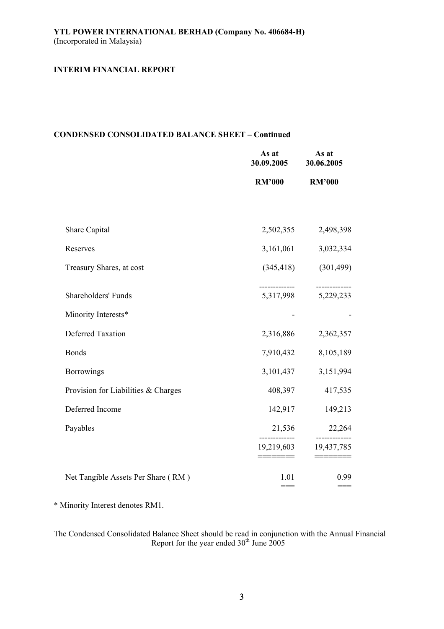## **CONDENSED CONSOLIDATED BALANCE SHEET – Continued**

|                                     | As at<br>30.09.2005 | As at<br>30.06.2005 |
|-------------------------------------|---------------------|---------------------|
|                                     | <b>RM'000</b>       | <b>RM'000</b>       |
|                                     |                     |                     |
| Share Capital                       | 2,502,355           | 2,498,398           |
| Reserves                            | 3,161,061           | 3,032,334           |
| Treasury Shares, at cost            | (345, 418)          | (301, 499)          |
| Shareholders' Funds                 | 5,317,998           | 5,229,233           |
| Minority Interests*                 |                     |                     |
| Deferred Taxation                   | 2,316,886           | 2,362,357           |
| <b>Bonds</b>                        | 7,910,432           | 8,105,189           |
| <b>Borrowings</b>                   | 3, 101, 437         | 3,151,994           |
| Provision for Liabilities & Charges | 408,397             | 417,535             |
| Deferred Income                     | 142,917             | 149,213             |
| Payables                            | 21,536              | 22,264<br>-------   |
|                                     | 19,219,603          | 19,437,785          |
| Net Tangible Assets Per Share (RM)  | 1.01<br>$==$        | 0.99<br>$==$        |

\* Minority Interest denotes RM1.

The Condensed Consolidated Balance Sheet should be read in conjunction with the Annual Financial Report for the year ended  $30<sup>th</sup>$  June 2005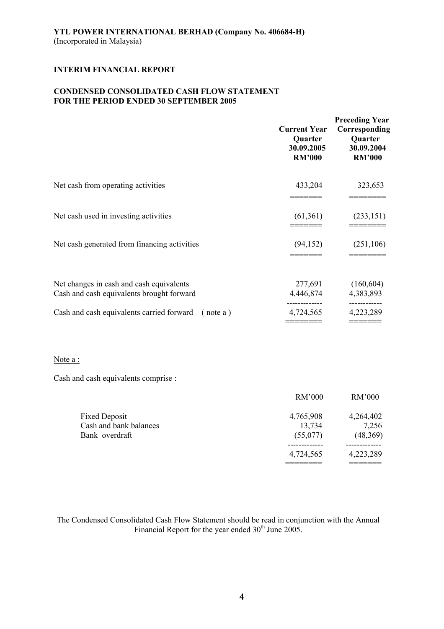## **CONDENSED CONSOLIDATED CASH FLOW STATEMENT FOR THE PERIOD ENDED 30 SEPTEMBER 2005**

|                                                                                       | <b>Current Year</b><br>Quarter<br>30.09.2005<br><b>RM'000</b> | <b>Preceding Year</b><br>Corresponding<br>Quarter<br>30.09.2004<br><b>RM'000</b> |
|---------------------------------------------------------------------------------------|---------------------------------------------------------------|----------------------------------------------------------------------------------|
| Net cash from operating activities                                                    | 433,204                                                       | 323,653                                                                          |
| Net cash used in investing activities                                                 | (61,361)                                                      | (233, 151)                                                                       |
| Net cash generated from financing activities                                          | (94, 152)                                                     | (251, 106)                                                                       |
| Net changes in cash and cash equivalents<br>Cash and cash equivalents brought forward | 277,691<br>4,446,874                                          | (160, 604)<br>4,383,893                                                          |
| Cash and cash equivalents carried forward<br>(note a)                                 | 4,724,565                                                     | ----------<br>4,223,289                                                          |

======== =======

### Note a :

Cash and cash equivalents comprise :

|                        | RM'000    | RM'000    |
|------------------------|-----------|-----------|
| <b>Fixed Deposit</b>   | 4,765,908 | 4,264,402 |
| Cash and bank balances | 13,734    | 7,256     |
| Bank overdraft         | (55,077)  | (48,369)  |
|                        |           |           |
|                        | 4,724,565 | 4,223,289 |
|                        |           |           |

The Condensed Consolidated Cash Flow Statement should be read in conjunction with the Annual Financial Report for the year ended  $30<sup>th</sup>$  June 2005.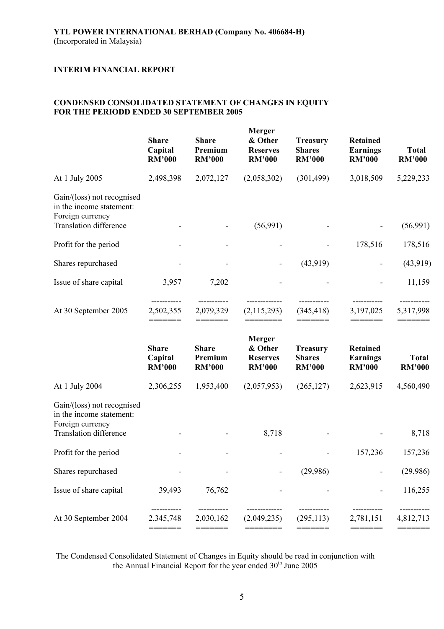## **CONDENSED CONSOLIDATED STATEMENT OF CHANGES IN EQUITY FOR THE PERIODD ENDED 30 SEPTEMBER 2005**

|                                                                                                             | <b>Share</b><br>Capital<br><b>RM'000</b> | <b>Share</b><br>Premium<br><b>RM'000</b> | <b>Merger</b><br>& Other<br><b>Reserves</b><br><b>RM'000</b> | <b>Treasury</b><br><b>Shares</b><br><b>RM'000</b> | <b>Retained</b><br><b>Earnings</b><br><b>RM'000</b> | <b>Total</b><br><b>RM'000</b> |
|-------------------------------------------------------------------------------------------------------------|------------------------------------------|------------------------------------------|--------------------------------------------------------------|---------------------------------------------------|-----------------------------------------------------|-------------------------------|
| At 1 July 2005                                                                                              | 2,498,398                                | 2,072,127                                | (2,058,302)                                                  | (301, 499)                                        | 3,018,509                                           | 5,229,233                     |
| Gain/(loss) not recognised<br>in the income statement:<br>Foreign currency<br><b>Translation difference</b> |                                          |                                          | (56,991)                                                     |                                                   |                                                     | (56,991)                      |
| Profit for the period                                                                                       |                                          |                                          |                                                              |                                                   | 178,516                                             | 178,516                       |
| Shares repurchased                                                                                          |                                          |                                          |                                                              | (43,919)                                          |                                                     | (43, 919)                     |
| Issue of share capital                                                                                      | 3,957                                    | 7,202                                    |                                                              |                                                   |                                                     | 11,159                        |
| At 30 September 2005                                                                                        | 2,502,355                                | 2,079,329                                | (2,115,293)                                                  | (345, 418)                                        | 3,197,025                                           | 5,317,998                     |
|                                                                                                             | <b>Share</b><br>Capital<br><b>RM'000</b> | <b>Share</b><br>Premium<br><b>RM'000</b> | <b>Merger</b><br>& Other<br><b>Reserves</b><br><b>RM'000</b> | <b>Treasury</b><br><b>Shares</b><br><b>RM'000</b> | <b>Retained</b><br><b>Earnings</b><br><b>RM'000</b> | <b>Total</b><br><b>RM'000</b> |
| At 1 July 2004                                                                                              | 2,306,255                                | 1,953,400                                | (2,057,953)                                                  | (265, 127)                                        | 2,623,915                                           | 4,560,490                     |
| Gain/(loss) not recognised<br>in the income statement:<br>Foreign currency<br><b>Translation difference</b> |                                          |                                          | 8,718                                                        |                                                   |                                                     | 8,718                         |
| Profit for the period                                                                                       |                                          |                                          |                                                              |                                                   | 157,236                                             | 157,236                       |
| Shares repurchased                                                                                          |                                          |                                          |                                                              | (29,986)                                          |                                                     | (29,986)                      |
| Issue of share capital                                                                                      | 39,493                                   | 76,762                                   |                                                              |                                                   |                                                     | 116,255                       |
| At 30 September 2004                                                                                        | 2,345,748                                | 2,030,162                                | (2,049,235)                                                  | (295, 113)                                        | 2,781,151                                           | 4,812,713                     |

The Condensed Consolidated Statement of Changes in Equity should be read in conjunction with the Annual Financial Report for the year ended  $30<sup>th</sup>$  June 2005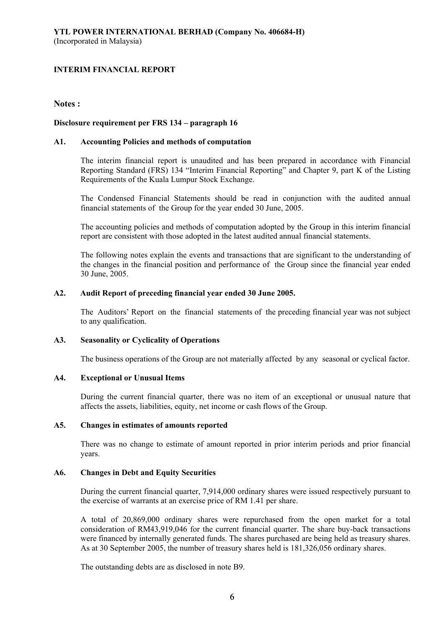## **Notes :**

## **Disclosure requirement per FRS 134 – paragraph 16**

### **A1. Accounting Policies and methods of computation**

The interim financial report is unaudited and has been prepared in accordance with Financial Reporting Standard (FRS) 134 "Interim Financial Reporting" and Chapter 9, part K of the Listing Requirements of the Kuala Lumpur Stock Exchange.

The Condensed Financial Statements should be read in conjunction with the audited annual financial statements of the Group for the year ended 30 June, 2005.

The accounting policies and methods of computation adopted by the Group in this interim financial report are consistent with those adopted in the latest audited annual financial statements.

The following notes explain the events and transactions that are significant to the understanding of the changes in the financial position and performance of the Group since the financial year ended 30 June, 2005.

### **A2. Audit Report of preceding financial year ended 30 June 2005.**

The Auditors' Report on the financial statements of the preceding financial year was not subject to any qualification.

### **A3. Seasonality or Cyclicality of Operations**

The business operations of the Group are not materially affected by any seasonal or cyclical factor.

### **A4. Exceptional or Unusual Items**

During the current financial quarter, there was no item of an exceptional or unusual nature that affects the assets, liabilities, equity, net income or cash flows of the Group.

#### **A5. Changes in estimates of amounts reported**

There was no change to estimate of amount reported in prior interim periods and prior financial years.

### **A6. Changes in Debt and Equity Securities**

During the current financial quarter, 7,914,000 ordinary shares were issued respectively pursuant to the exercise of warrants at an exercise price of RM 1.41 per share.

A total of 20,869,000 ordinary shares were repurchased from the open market for a total consideration of RM43,919,046 for the current financial quarter. The share buy-back transactions were financed by internally generated funds. The shares purchased are being held as treasury shares. As at 30 September 2005, the number of treasury shares held is 181,326,056 ordinary shares.

The outstanding debts are as disclosed in note B9.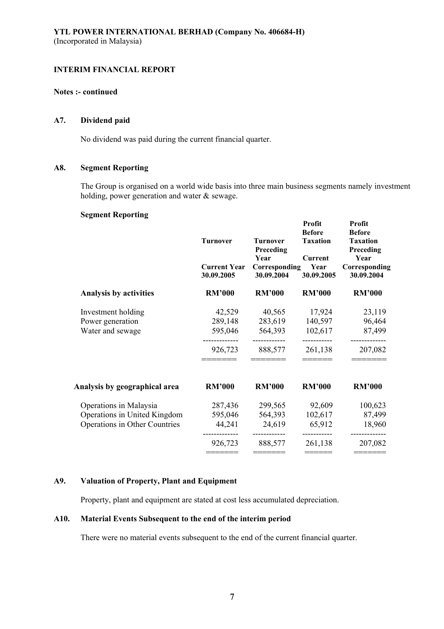## **Notes :- continued**

## **A7. Dividend paid**

No dividend was paid during the current financial quarter.

## **A8. Segment Reporting**

The Group is organised on a world wide basis into three main business segments namely investment holding, power generation and water & sewage.

#### **Segment Reporting**

|                               | <b>Turnover</b><br><b>Current Year</b><br>30.09.2005 | <b>Turnover</b><br>Preceding<br>Year<br>Corresponding<br>30.09.2004 | Profit<br><b>Before</b><br><b>Taxation</b><br><b>Current</b><br>Year<br>30.09.2005 | Profit<br><b>Before</b><br><b>Taxation</b><br>Preceding<br>Year<br>Corresponding<br>30.09.2004 |
|-------------------------------|------------------------------------------------------|---------------------------------------------------------------------|------------------------------------------------------------------------------------|------------------------------------------------------------------------------------------------|
| <b>Analysis by activities</b> | <b>RM'000</b>                                        | <b>RM'000</b>                                                       | <b>RM'000</b>                                                                      | <b>RM'000</b>                                                                                  |
| Investment holding            | 42,529                                               | 40,565                                                              | 17,924                                                                             | 23,119                                                                                         |
| Power generation              | 289,148                                              | 283,619                                                             | 140,597                                                                            | 96,464                                                                                         |
| Water and sewage              | 595,046                                              | 564,393                                                             | 102,617                                                                            | 87,499                                                                                         |
|                               | 926,723                                              | 888,577                                                             | 261,138                                                                            | 207,082                                                                                        |
| Analysis by geographical area | <b>RM'000</b>                                        | <b>RM'000</b>                                                       | <b>RM'000</b>                                                                      | <b>RM'000</b>                                                                                  |
| Operations in Malaysia        | 287,436                                              | 299,565                                                             | 92,609                                                                             | 100,623                                                                                        |
| Operations in United Kingdom  | 595,046                                              | 564,393                                                             | 102,617                                                                            | 87,499                                                                                         |
| Operations in Other Countries | 44,241                                               | 24,619                                                              | 65,912                                                                             | 18,960                                                                                         |
|                               | 926,723                                              | ------------<br>888,577                                             | -----------<br>261,138                                                             | -----------<br>207,082                                                                         |
|                               | ======                                               | =======                                                             | $=$ $=$ $=$ $=$ $=$ $=$                                                            |                                                                                                |

## **A9. Valuation of Property, Plant and Equipment**

Property, plant and equipment are stated at cost less accumulated depreciation.

## **A10. Material Events Subsequent to the end of the interim period**

There were no material events subsequent to the end of the current financial quarter.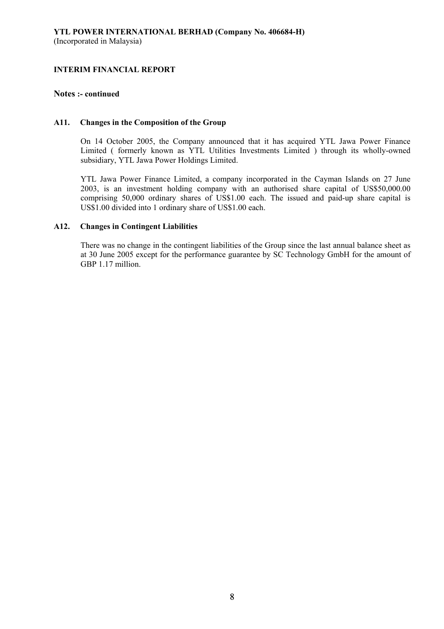## **Notes :- continued**

### **A11. Changes in the Composition of the Group**

On 14 October 2005, the Company announced that it has acquired YTL Jawa Power Finance Limited ( formerly known as YTL Utilities Investments Limited ) through its wholly-owned subsidiary, YTL Jawa Power Holdings Limited.

YTL Jawa Power Finance Limited, a company incorporated in the Cayman Islands on 27 June 2003, is an investment holding company with an authorised share capital of US\$50,000.00 comprising 50,000 ordinary shares of US\$1.00 each. The issued and paid-up share capital is US\$1.00 divided into 1 ordinary share of US\$1.00 each.

### **A12. Changes in Contingent Liabilities**

There was no change in the contingent liabilities of the Group since the last annual balance sheet as at 30 June 2005 except for the performance guarantee by SC Technology GmbH for the amount of GBP 1.17 million.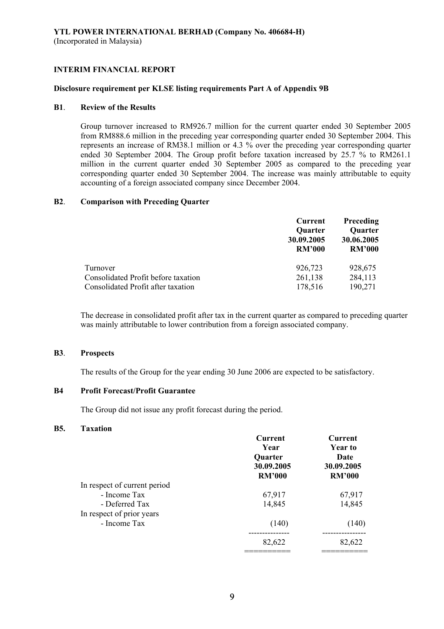#### **Disclosure requirement per KLSE listing requirements Part A of Appendix 9B**

### **B1**. **Review of the Results**

Group turnover increased to RM926.7 million for the current quarter ended 30 September 2005 from RM888.6 million in the preceding year corresponding quarter ended 30 September 2004. This represents an increase of RM38.1 million or 4.3 % over the preceding year corresponding quarter ended 30 September 2004. The Group profit before taxation increased by 25.7 % to RM261.1 million in the current quarter ended 30 September 2005 as compared to the preceding year corresponding quarter ended 30 September 2004. The increase was mainly attributable to equity accounting of a foreign associated company since December 2004.

### **B2**. **Comparison with Preceding Quarter**

|                                     | Current        | Preceding      |
|-------------------------------------|----------------|----------------|
|                                     | <b>Quarter</b> | <b>Quarter</b> |
|                                     | 30.09.2005     | 30.06.2005     |
|                                     | <b>RM'000</b>  | <b>RM'000</b>  |
| Turnover                            | 926,723        | 928,675        |
| Consolidated Profit before taxation | 261,138        | 284,113        |
| Consolidated Profit after taxation  | 178,516        | 190,271        |

The decrease in consolidated profit after tax in the current quarter as compared to preceding quarter was mainly attributable to lower contribution from a foreign associated company.

#### **B3**. **Prospects**

The results of the Group for the year ending 30 June 2006 are expected to be satisfactory.

## **B4 Profit Forecast/Profit Guarantee**

The Group did not issue any profit forecast during the period.

#### **B5. Taxation**

|                              | Current<br>Year<br><b>Quarter</b><br>30.09.2005<br><b>RM'000</b> | Current<br>Year to<br>Date<br>30.09.2005<br><b>RM'000</b> |
|------------------------------|------------------------------------------------------------------|-----------------------------------------------------------|
| In respect of current period |                                                                  |                                                           |
| - Income Tax                 | 67,917                                                           | 67,917                                                    |
| - Deferred Tax               | 14,845                                                           | 14,845                                                    |
| In respect of prior years    |                                                                  |                                                           |
| - Income Tax                 | (140)                                                            | (140)                                                     |
|                              | 82,622                                                           | 82,622                                                    |
|                              |                                                                  |                                                           |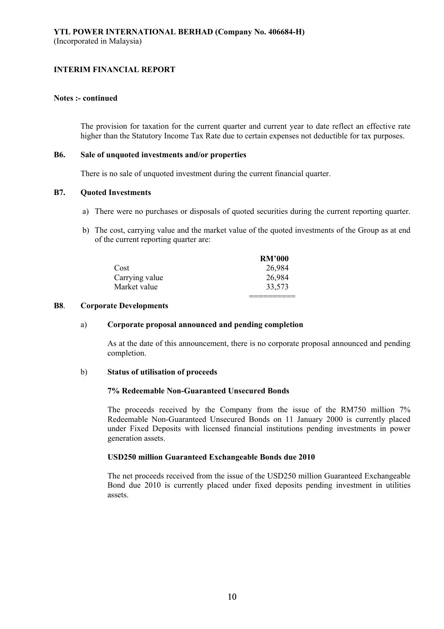#### **Notes :- continued**

The provision for taxation for the current quarter and current year to date reflect an effective rate higher than the Statutory Income Tax Rate due to certain expenses not deductible for tax purposes.

#### **B6. Sale of unquoted investments and/or properties**

There is no sale of unquoted investment during the current financial quarter.

## **B7. Quoted Investments**

- a) There were no purchases or disposals of quoted securities during the current reporting quarter.
- b) The cost, carrying value and the market value of the quoted investments of the Group as at end of the current reporting quarter are:

|                | <b>RM'000</b> |
|----------------|---------------|
| Cost           | 26,984        |
| Carrying value | 26,984        |
| Market value   | 33,573        |
|                |               |

## **B8**. **Corporate Developments**

### a) **Corporate proposal announced and pending completion**

As at the date of this announcement, there is no corporate proposal announced and pending completion.

### b) **Status of utilisation of proceeds**

## **7% Redeemable Non-Guaranteed Unsecured Bonds**

The proceeds received by the Company from the issue of the RM750 million 7% Redeemable Non-Guaranteed Unsecured Bonds on 11 January 2000 is currently placed under Fixed Deposits with licensed financial institutions pending investments in power generation assets.

### **USD250 million Guaranteed Exchangeable Bonds due 2010**

The net proceeds received from the issue of the USD250 million Guaranteed Exchangeable Bond due 2010 is currently placed under fixed deposits pending investment in utilities assets.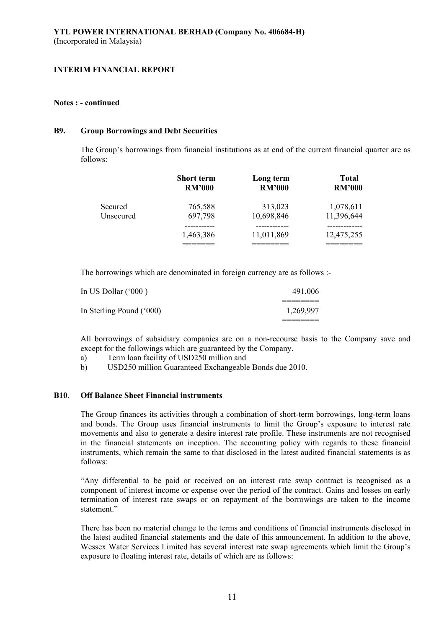#### **Notes : - continued**

#### **B9. Group Borrowings and Debt Securities**

The Group's borrowings from financial institutions as at end of the current financial quarter are as follows:

|           | <b>Short term</b> | Long term     | <b>Total</b>  |
|-----------|-------------------|---------------|---------------|
|           | <b>RM'000</b>     | <b>RM'000</b> | <b>RM'000</b> |
| Secured   | 765,588           | 313,023       | 1,078,611     |
| Unsecured | 697,798           | 10,698,846    | 11,396,644    |
|           | 1,463,386         | 11,011,869    | 12,475,255    |

The borrowings which are denominated in foreign currency are as follows :-

| In US Dollar $(600)$     | 491,006   |
|--------------------------|-----------|
|                          |           |
| In Sterling Pound ('000) | 1,269,997 |
|                          |           |

All borrowings of subsidiary companies are on a non-recourse basis to the Company save and except for the followings which are guaranteed by the Company.

- a) Term loan facility of USD250 million and
- b) USD250 million Guaranteed Exchangeable Bonds due 2010.

### **B10**. **Off Balance Sheet Financial instruments**

The Group finances its activities through a combination of short-term borrowings, long-term loans and bonds. The Group uses financial instruments to limit the Group's exposure to interest rate movements and also to generate a desire interest rate profile. These instruments are not recognised in the financial statements on inception. The accounting policy with regards to these financial instruments, which remain the same to that disclosed in the latest audited financial statements is as follows:

"Any differential to be paid or received on an interest rate swap contract is recognised as a component of interest income or expense over the period of the contract. Gains and losses on early termination of interest rate swaps or on repayment of the borrowings are taken to the income statement."

There has been no material change to the terms and conditions of financial instruments disclosed in the latest audited financial statements and the date of this announcement. In addition to the above, Wessex Water Services Limited has several interest rate swap agreements which limit the Group's exposure to floating interest rate, details of which are as follows: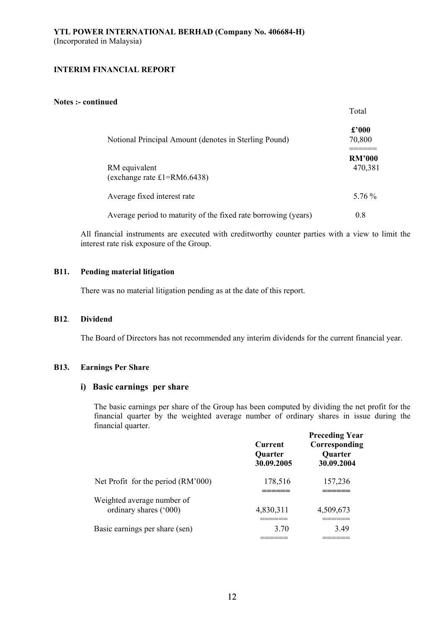#### **Notes :- continued**

|                                                                | 1 vui                    |
|----------------------------------------------------------------|--------------------------|
| Notional Principal Amount (denotes in Sterling Pound)          | $\pounds 000$<br>70,800  |
| RM equivalent<br>(exchange rate $£1 = RM6.6438$ )              | <b>RM'000</b><br>470,381 |
| Average fixed interest rate                                    | 5.76 %                   |
| Average period to maturity of the fixed rate borrowing (years) | 0.8                      |

Total

All financial instruments are executed with creditworthy counter parties with a view to limit the interest rate risk exposure of the Group.

## **B11. Pending material litigation**

There was no material litigation pending as at the date of this report.

#### **B12**. **Dividend**

The Board of Directors has not recommended any interim dividends for the current financial year.

#### **B13. Earnings Per Share**

## **i) Basic earnings per share**

The basic earnings per share of the Group has been computed by dividing the net profit for the financial quarter by the weighted average number of ordinary shares in issue during the financial quarter.

|                                                      | <b>Current</b><br><b>Quarter</b><br>30.09.2005 | <b>Preceding Year</b><br>Corresponding<br><b>Quarter</b><br>30.09.2004 |
|------------------------------------------------------|------------------------------------------------|------------------------------------------------------------------------|
| Net Profit for the period (RM'000)                   | 178,516                                        | 157,236                                                                |
| Weighted average number of<br>ordinary shares ('000) | 4,830,311                                      | 4,509,673                                                              |
| Basic earnings per share (sen)                       | 3.70                                           | 3.49                                                                   |